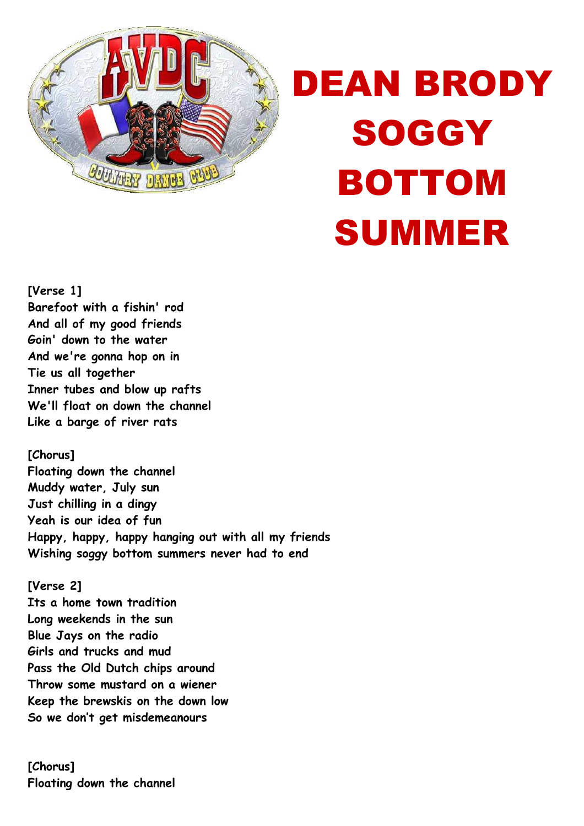

## DEAN BRODY **SOGGY** BOTTOM SUMMER

**[Verse 1] Barefoot with a fishin' rod And all of my good friends Goin' down to the water And we're gonna hop on in Tie us all together Inner tubes and blow up rafts We'll float on down the channel Like a barge of river rats** 

**[Chorus] Floating down the channel Muddy water, July sun Just chilling in a dingy Yeah is our idea of fun Happy, happy, happy hanging out with all my friends Wishing soggy bottom summers never had to end** 

**[Verse 2] Its a home town tradition Long weekends in the sun Blue Jays on the radio Girls and trucks and mud Pass the Old Dutch chips around Throw some mustard on a wiener Keep the brewskis on the down low So we don't get misdemeanours** 

**[Chorus] Floating down the channel**